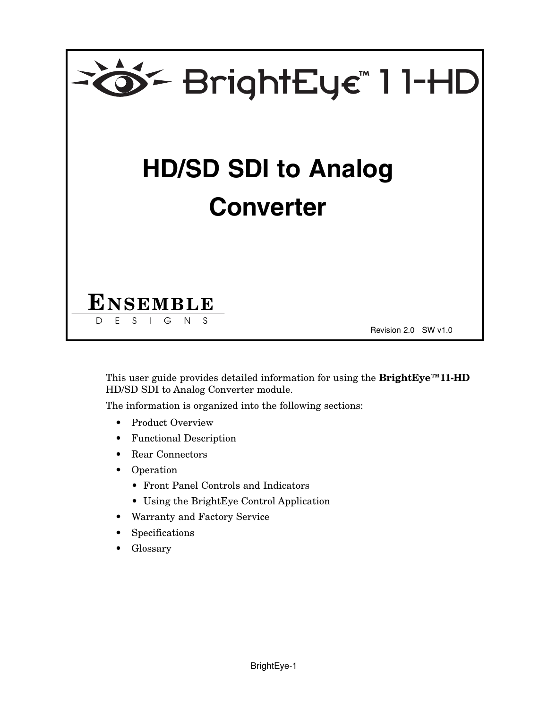

This user guide provides detailed information for using the **BrightEye™11-HD** HD/SD SDI to Analog Converter module.

The information is organized into the following sections:

- Product Overview
- Functional Description
- Rear Connectors
- Operation
	- Front Panel Controls and Indicators
	- Using the BrightEye Control Application
- Warranty and Factory Service
- **Specifications**
- Glossary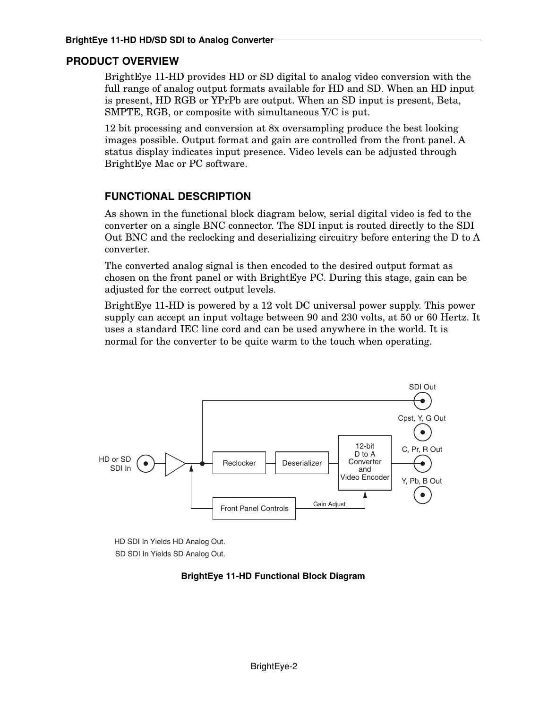#### **PRODUCT OVERVIEW**

BrightEye 11-HD provides HD or SD digital to analog video conversion with the full range of analog output formats available for HD and SD. When an HD input is present, HD RGB or YPrPb are output. When an SD input is present, Beta, SMPTE, RGB, or composite with simultaneous Y/C is put.

12 bit processing and conversion at 8x oversampling produce the best looking images possible. Output format and gain are controlled from the front panel. A status display indicates input presence. Video levels can be adjusted through BrightEye Mac or PC software.

### **FUNCTIONAL DESCRIPTION**

As shown in the functional block diagram below, serial digital video is fed to the converter on a single BNC connector. The SDI input is routed directly to the SDI Out BNC and the reclocking and deserializing circuitry before entering the D to A converter.

The converted analog signal is then encoded to the desired output format as chosen on the front panel or with BrightEye PC. During this stage, gain can be adjusted for the correct output levels.

BrightEye 11-HD is powered by a 12 volt DC universal power supply. This power supply can accept an input voltage between 90 and 230 volts, at 50 or 60 Hertz. It uses a standard IEC line cord and can be used anywhere in the world. It is normal for the converter to be quite warm to the touch when operating.



HD SDI In Yields HD Analog Out. SD SDI In Yields SD Analog Out.

#### **BrightEye 11-HD Functional Block Diagram**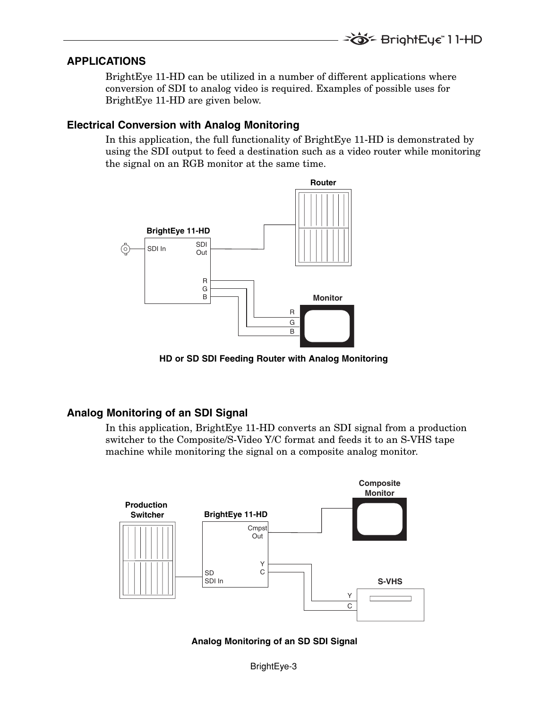**TO F** BrightEye 11-HD

#### **APPLICATIONS**

BrightEye 11-HD can be utilized in a number of different applications where conversion of SDI to analog video is required. Examples of possible uses for BrightEye 11-HD are given below.

#### **Electrical Conversion with Analog Monitoring**

In this application, the full functionality of BrightEye 11-HD is demonstrated by using the SDI output to feed a destination such as a video router while monitoring the signal on an RGB monitor at the same time.



**HD or SD SDI Feeding Router with Analog Monitoring** 

#### **Analog Monitoring of an SDI Signal**

In this application, BrightEye 11-HD converts an SDI signal from a production switcher to the Composite/S-Video Y/C format and feeds it to an S-VHS tape machine while monitoring the signal on a composite analog monitor.



**Analog Monitoring of an SD SDI Signal**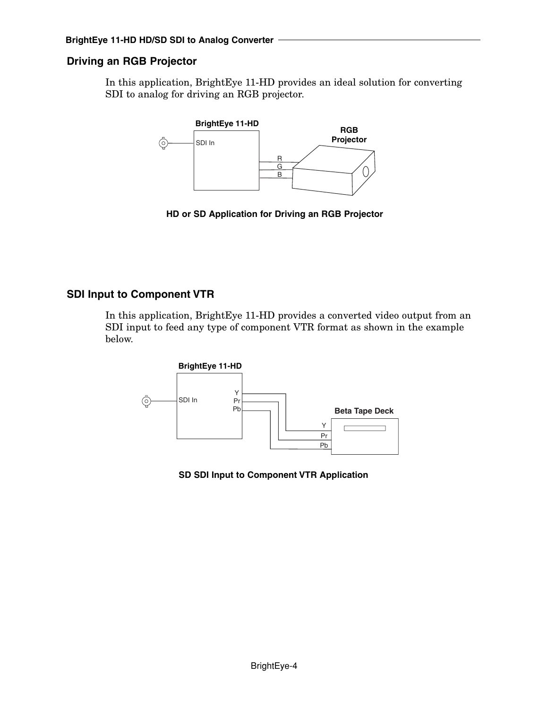### **Driving an RGB Projector**

In this application, BrightEye 11-HD provides an ideal solution for converting SDI to analog for driving an RGB projector.



**HD or SD Application for Driving an RGB Projector**

### **SDI Input to Component VTR**

In this application, BrightEye 11-HD provides a converted video output from an SDI input to feed any type of component VTR format as shown in the example below.



**SD SDI Input to Component VTR Application**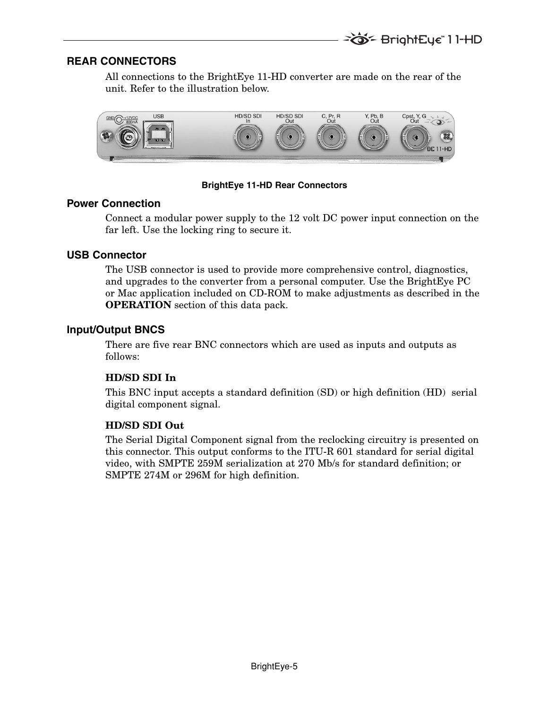### **REAR CONNECTORS**

All connections to the BrightEye 11-HD converter are made on the rear of the unit. Refer to the illustration below.



#### **BrightEye 11-HD Rear Connectors**

#### **Power Connection**

Connect a modular power supply to the 12 volt DC power input connection on the far left. Use the locking ring to secure it.

#### **USB Connector**

The USB connector is used to provide more comprehensive control, diagnostics, and upgrades to the converter from a personal computer. Use the BrightEye PC or Mac application included on CD-ROM to make adjustments as described in the **OPERATION** section of this data pack.

#### **Input/Output BNCS**

There are five rear BNC connectors which are used as inputs and outputs as follows:

#### **HD/SD SDI In**

This BNC input accepts a standard definition (SD) or high definition (HD) serial digital component signal.

#### **HD/SD SDI Out**

The Serial Digital Component signal from the reclocking circuitry is presented on this connector. This output conforms to the ITU-R 601 standard for serial digital video, with SMPTE 259M serialization at 270 Mb/s for standard definition; or SMPTE 274M or 296M for high definition.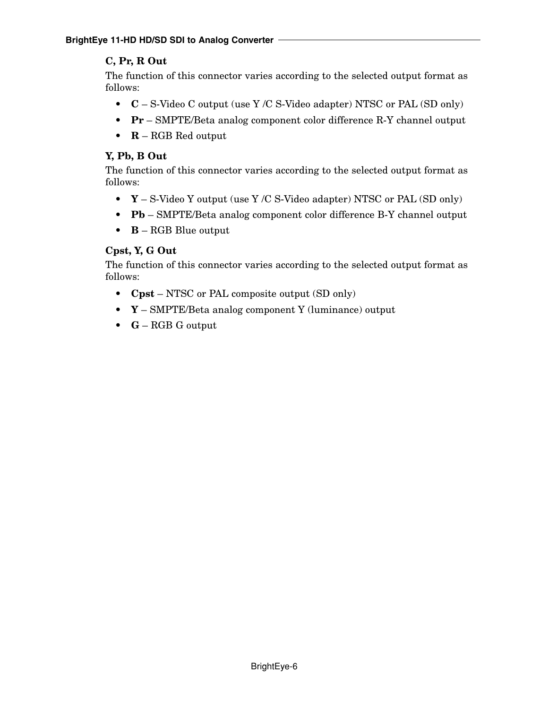## **C, Pr, R Out**

The function of this connector varies according to the selected output format as follows:

- **C** S-Video C output (use Y /C S-Video adapter) NTSC or PAL (SD only)
- **Pr** SMPTE/Beta analog component color difference R-Y channel output
- **R** RGB Red output

### **Y, Pb, B Out**

The function of this connector varies according to the selected output format as follows:

- **Y** S-Video Y output (use Y /C S-Video adapter) NTSC or PAL (SD only)
- **Pb** SMPTE/Beta analog component color difference B-Y channel output
- **B** RGB Blue output

### **Cpst, Y, G Out**

The function of this connector varies according to the selected output format as follows:

- **Cpst** NTSC or PAL composite output (SD only)
- **Y** SMPTE/Beta analog component Y (luminance) output
- **G** RGB G output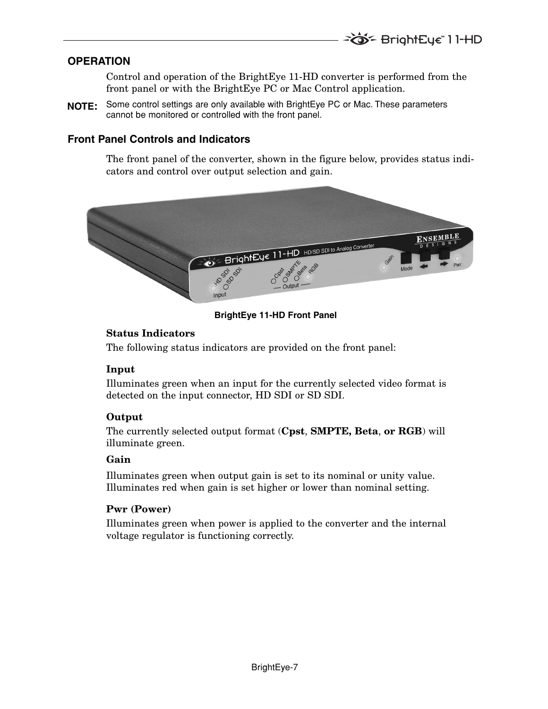## **OPERATION**

Control and operation of the BrightEye 11-HD converter is performed from the front panel or with the BrightEye PC or Mac Control application.

Some control settings are only available with BrightEye PC or Mac. These parameters **NOTE:**cannot be monitored or controlled with the front panel.

## **Front Panel Controls and Indicators**

The front panel of the converter, shown in the figure below, provides status indicators and control over output selection and gain.



**BrightEye 11-HD Front Panel**

### **Status Indicators**

The following status indicators are provided on the front panel:

### **Input**

Illuminates green when an input for the currently selected video format is detected on the input connector, HD SDI or SD SDI.

### **Output**

The currently selected output format (**Cpst**, **SMPTE, Beta**, **or RGB**) will illuminate green.

### **Gain**

Illuminates green when output gain is set to its nominal or unity value. Illuminates red when gain is set higher or lower than nominal setting.

### **Pwr (Power)**

Illuminates green when power is applied to the converter and the internal voltage regulator is functioning correctly.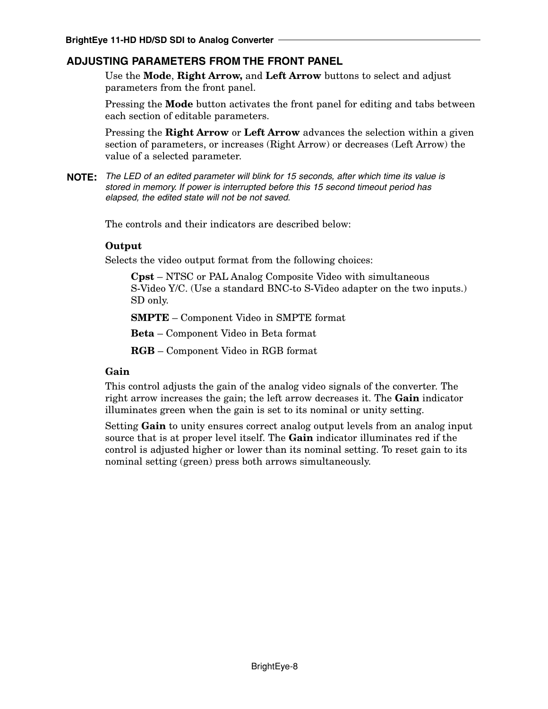## **ADJUSTING PARAMETERS FROM THE FRONT PANEL**

Use the **Mode**, **Right Arrow,** and **Left Arrow** buttons to select and adjust parameters from the front panel.

Pressing the **Mode** button activates the front panel for editing and tabs between each section of editable parameters.

Pressing the **Right Arrow** or **Left Arrow** advances the selection within a given section of parameters, or increases (Right Arrow) or decreases (Left Arrow) the value of a selected parameter.

**NOTE:** The LED of an edited parameter will blink for 15 seconds, after which time its value is stored in memory. If power is interrupted before this 15 second timeout period has elapsed, the edited state will not be not saved.

The controls and their indicators are described below:

#### **Output**

Selects the video output format from the following choices:

**Cpst** – NTSC or PAL Analog Composite Video with simultaneous S-Video Y/C. (Use a standard BNC-to S-Video adapter on the two inputs.) SD only.

**SMPTE** – Component Video in SMPTE format

**Beta** – Component Video in Beta format

**RGB** – Component Video in RGB format

#### **Gain**

This control adjusts the gain of the analog video signals of the converter. The right arrow increases the gain; the left arrow decreases it. The **Gain** indicator illuminates green when the gain is set to its nominal or unity setting.

Setting **Gain** to unity ensures correct analog output levels from an analog input source that is at proper level itself. The **Gain** indicator illuminates red if the control is adjusted higher or lower than its nominal setting. To reset gain to its nominal setting (green) press both arrows simultaneously.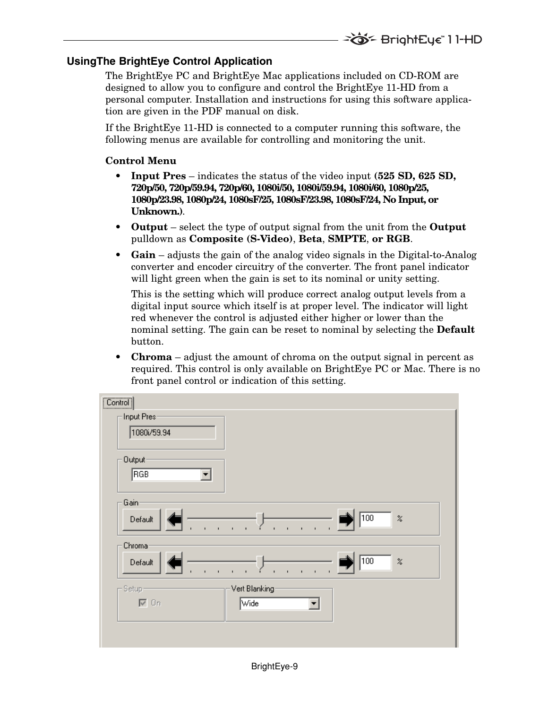## **UsingThe BrightEye Control Application**

The BrightEye PC and BrightEye Mac applications included on CD-ROM are designed to allow you to configure and control the BrightEye 11-HD from a personal computer. Installation and instructions for using this software application are given in the PDF manual on disk.

If the BrightEye 11-HD is connected to a computer running this software, the following menus are available for controlling and monitoring the unit.

#### **Control Menu**

- **Input Pres** indicates the status of the video input **(525 SD, 625 SD, 720p/50, 720p/59.94, 720p/60, 1080i/50, 1080i/59.94, 1080i/60, 1080p/25, 1080p/23.98, 1080p/24, 1080sF/25, 1080sF/23.98, 1080sF/24, No Input, or Unknown.)**.
- **Output** select the type of output signal from the unit from the **Output** pulldown as **Composite (S-Video)**, **Beta**, **SMPTE**, **or RGB**.
- **Gain** adjusts the gain of the analog video signals in the Digital-to-Analog converter and encoder circuitry of the converter. The front panel indicator will light green when the gain is set to its nominal or unity setting.

This is the setting which will produce correct analog output levels from a digital input source which itself is at proper level. The indicator will light red whenever the control is adjusted either higher or lower than the nominal setting. The gain can be reset to nominal by selecting the **Default** button.

**Chroma** – adjust the amount of chroma on the output signal in percent as required. This control is only available on BrightEye PC or Mac. There is no front panel control or indication of this setting.

| Input Pres-<br>1080i/59.94                                                                                                                                            |  |
|-----------------------------------------------------------------------------------------------------------------------------------------------------------------------|--|
| Output-<br>RGB                                                                                                                                                        |  |
| Gain-<br>$\sqrt{100}$<br>$\boldsymbol{z}$<br>Default<br>$\mathbf{I}$<br>$\mathbf{r}$<br>ï<br>$\mathbf{I}$<br>$\mathbf{r}$<br>$\mathbf{I}$<br>$\blacksquare$<br>ı<br>ı |  |
| Chroma<br>$\sqrt{100}$<br>$\!\! \%$<br>Default<br>$\mathbf{r}$<br>Î.<br>$\blacksquare$<br>$\blacksquare$                                                              |  |
| Vert Blanking<br>- Setup-<br>$\nabla$ On<br>Wide<br>$\blacktriangledown$                                                                                              |  |
|                                                                                                                                                                       |  |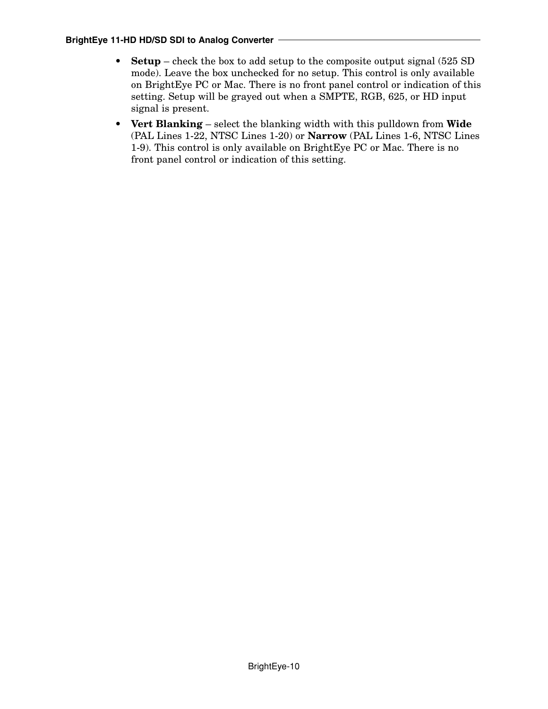- **Setup** check the box to add setup to the composite output signal (525 SD) mode). Leave the box unchecked for no setup. This control is only available on BrightEye PC or Mac. There is no front panel control or indication of this setting. Setup will be grayed out when a SMPTE, RGB, 625, or HD input signal is present.
- **Vert Blanking** select the blanking width with this pulldown from **Wide** (PAL Lines 1-22, NTSC Lines 1-20) or **Narrow** (PAL Lines 1-6, NTSC Lines 1-9). This control is only available on BrightEye PC or Mac. There is no front panel control or indication of this setting.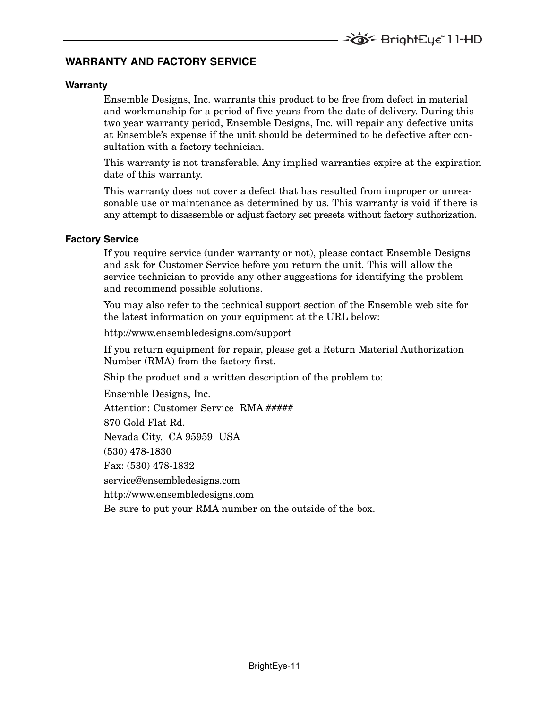### **WARRANTY AND FACTORY SERVICE**

#### **Warranty**

Ensemble Designs, Inc. warrants this product to be free from defect in material and workmanship for a period of five years from the date of delivery. During this two year warranty period, Ensemble Designs, Inc. will repair any defective units at Ensemble's expense if the unit should be determined to be defective after consultation with a factory technician.

This warranty is not transferable. Any implied warranties expire at the expiration date of this warranty.

This warranty does not cover a defect that has resulted from improper or unreasonable use or maintenance as determined by us. This warranty is void if there is any attempt to disassemble or adjust factory set presets without factory authorization.

#### **Factory Service**

If you require service (under warranty or not), please contact Ensemble Designs and ask for Customer Service before you return the unit. This will allow the service technician to provide any other suggestions for identifying the problem and recommend possible solutions.

You may also refer to the technical support section of the Ensemble web site for the latest information on your equipment at the URL below:

http://www.ensembledesigns.com/support

If you return equipment for repair, please get a Return Material Authorization Number (RMA) from the factory first.

Ship the product and a written description of the problem to:

Ensemble Designs, Inc. Attention: Customer Service RMA ##### 870 Gold Flat Rd. Nevada City, CA 95959 USA (530) 478-1830 Fax: (530) 478-1832 service@ensembledesigns.com http://www.ensembledesigns.com Be sure to put your RMA number on the outside of the box.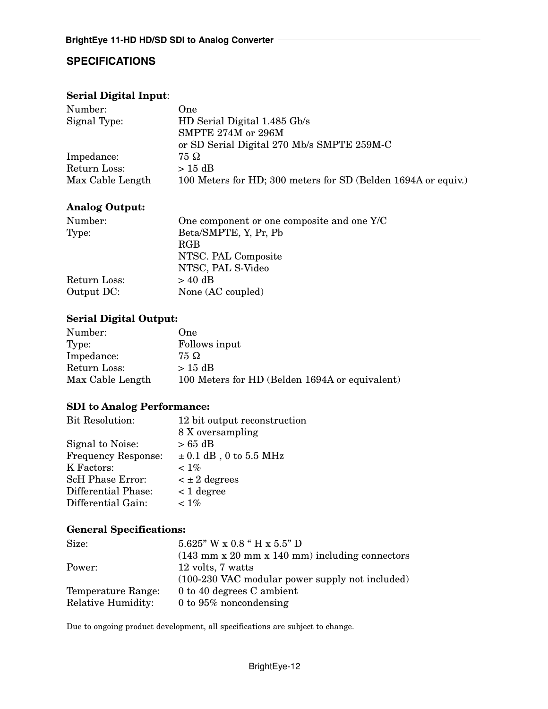# **SPECIFICATIONS**

#### **Serial Digital Input**:

| One.                                                          |
|---------------------------------------------------------------|
| HD Serial Digital 1.485 Gb/s                                  |
| SMPTE 274M or 296M                                            |
| or SD Serial Digital 270 Mb/s SMPTE 259M-C                    |
| 75 Ω                                                          |
| $> 15$ dB                                                     |
| 100 Meters for HD; 300 meters for SD (Belden 1694A or equiv.) |
|                                                               |

#### **Analog Output:**

| Number:      | One component or one composite and one Y/C |
|--------------|--------------------------------------------|
| Type:        | Beta/SMPTE, Y, Pr, Pb                      |
|              | <b>RGB</b>                                 |
|              | NTSC. PAL Composite                        |
|              | NTSC, PAL S-Video                          |
| Return Loss: | $> 40$ dB                                  |
| Output DC:   | None (AC coupled)                          |

## **Serial Digital Output:**

| One                                            |
|------------------------------------------------|
| Follows input                                  |
| 75 Ω                                           |
| $>15$ dB                                       |
| 100 Meters for HD (Belden 1694A or equivalent) |
|                                                |

### **SDI to Analog Performance:**

| <b>Bit Resolution:</b>     | 12 bit output reconstruction |
|----------------------------|------------------------------|
|                            | 8 X oversampling             |
| Signal to Noise:           | $> 65$ dB                    |
| <b>Frequency Response:</b> | $\pm$ 0.1 dB, 0 to 5.5 MHz   |
| K Factors:                 | $< 1\%$                      |
| <b>ScH Phase Error:</b>    | $\lt \pm 2$ degrees          |
| Differential Phase:        | $< 1$ degree                 |
| Differential Gain:         | $< 1\%$                      |

### **General Specifications:**

| Size:                     | $5.625$ " W x 0.8 " H x 5.5" D                                                     |
|---------------------------|------------------------------------------------------------------------------------|
|                           | $(143 \text{ mm} \times 20 \text{ mm} \times 140 \text{ mm})$ including connectors |
| Power:                    | 12 volts, 7 watts                                                                  |
|                           | $(100-230 \text{ VAC modular power supply not included})$                          |
| Temperature Range:        | 0 to 40 degrees C ambient                                                          |
| <b>Relative Humidity:</b> | 0 to $95\%$ noncondensing                                                          |

Due to ongoing product development, all specifications are subject to change.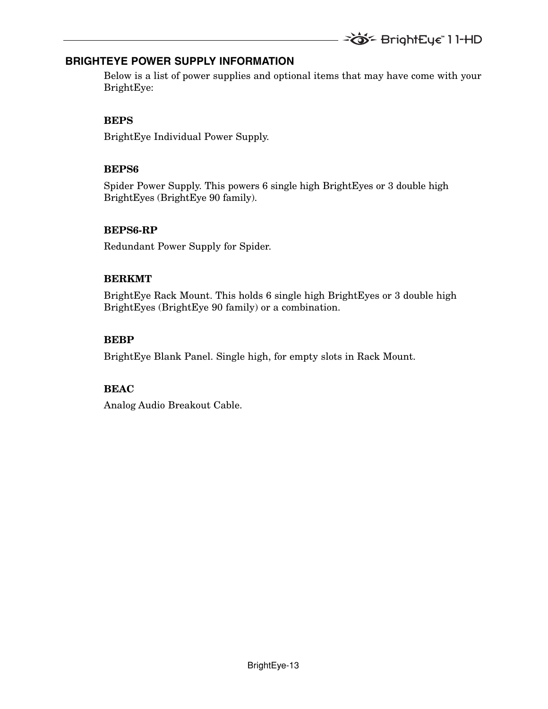### **BRIGHTEYE POWER SUPPLY INFORMATION**

Below is a list of power supplies and optional items that may have come with your BrightEye:

### **BEPS**

BrightEye Individual Power Supply.

## **BEPS6**

Spider Power Supply. This powers 6 single high BrightEyes or 3 double high BrightEyes (BrightEye 90 family).

## **BEPS6-RP**

Redundant Power Supply for Spider.

## **BERKMT**

BrightEye Rack Mount. This holds 6 single high BrightEyes or 3 double high BrightEyes (BrightEye 90 family) or a combination.

## **BEBP**

BrightEye Blank Panel. Single high, for empty slots in Rack Mount.

## **BEAC**

Analog Audio Breakout Cable.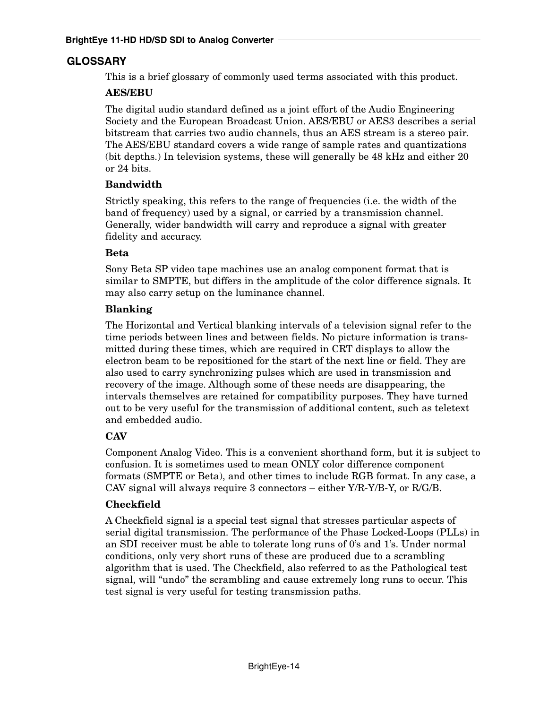## **GLOSSARY**

This is a brief glossary of commonly used terms associated with this product.

#### **AES/EBU**

The digital audio standard defined as a joint effort of the Audio Engineering Society and the European Broadcast Union. AES/EBU or AES3 describes a serial bitstream that carries two audio channels, thus an AES stream is a stereo pair. The AES/EBU standard covers a wide range of sample rates and quantizations (bit depths.) In television systems, these will generally be 48 kHz and either 20 or 24 bits.

#### **Bandwidth**

Strictly speaking, this refers to the range of frequencies (i.e. the width of the band of frequency) used by a signal, or carried by a transmission channel. Generally, wider bandwidth will carry and reproduce a signal with greater fidelity and accuracy.

#### **Beta**

Sony Beta SP video tape machines use an analog component format that is similar to SMPTE, but differs in the amplitude of the color difference signals. It may also carry setup on the luminance channel.

#### **Blanking**

The Horizontal and Vertical blanking intervals of a television signal refer to the time periods between lines and between fields. No picture information is transmitted during these times, which are required in CRT displays to allow the electron beam to be repositioned for the start of the next line or field. They are also used to carry synchronizing pulses which are used in transmission and recovery of the image. Although some of these needs are disappearing, the intervals themselves are retained for compatibility purposes. They have turned out to be very useful for the transmission of additional content, such as teletext and embedded audio.

### **CAV**

Component Analog Video. This is a convenient shorthand form, but it is subject to confusion. It is sometimes used to mean ONLY color difference component formats (SMPTE or Beta), and other times to include RGB format. In any case, a CAV signal will always require 3 connectors – either Y/R-Y/B-Y, or R/G/B.

### **Checkfield**

A Checkfield signal is a special test signal that stresses particular aspects of serial digital transmission. The performance of the Phase Locked-Loops (PLLs) in an SDI receiver must be able to tolerate long runs of 0's and 1's. Under normal conditions, only very short runs of these are produced due to a scrambling algorithm that is used. The Checkfield, also referred to as the Pathological test signal, will "undo" the scrambling and cause extremely long runs to occur. This test signal is very useful for testing transmission paths.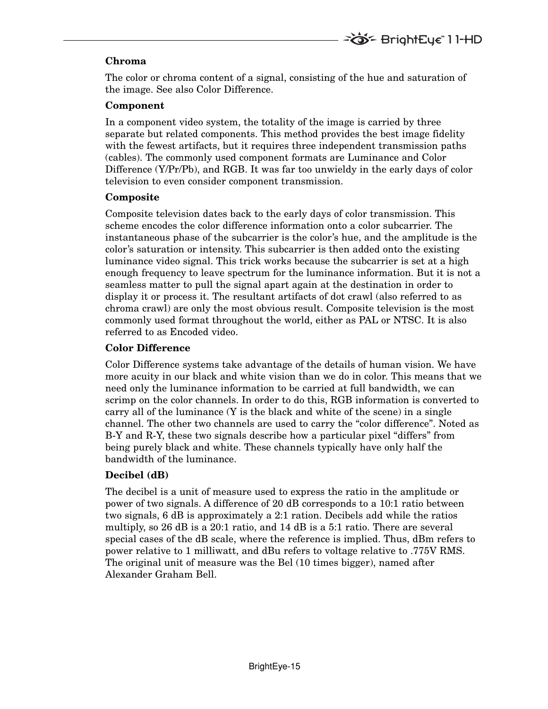### **Chroma**

The color or chroma content of a signal, consisting of the hue and saturation of the image. See also Color Difference.

#### **Component**

In a component video system, the totality of the image is carried by three separate but related components. This method provides the best image fidelity with the fewest artifacts, but it requires three independent transmission paths (cables). The commonly used component formats are Luminance and Color Difference (Y/Pr/Pb), and RGB. It was far too unwieldy in the early days of color television to even consider component transmission.

#### **Composite**

Composite television dates back to the early days of color transmission. This scheme encodes the color difference information onto a color subcarrier. The instantaneous phase of the subcarrier is the color's hue, and the amplitude is the color's saturation or intensity. This subcarrier is then added onto the existing luminance video signal. This trick works because the subcarrier is set at a high enough frequency to leave spectrum for the luminance information. But it is not a seamless matter to pull the signal apart again at the destination in order to display it or process it. The resultant artifacts of dot crawl (also referred to as chroma crawl) are only the most obvious result. Composite television is the most commonly used format throughout the world, either as PAL or NTSC. It is also referred to as Encoded video.

### **Color Difference**

Color Difference systems take advantage of the details of human vision. We have more acuity in our black and white vision than we do in color. This means that we need only the luminance information to be carried at full bandwidth, we can scrimp on the color channels. In order to do this, RGB information is converted to carry all of the luminance  $(Y$  is the black and white of the scene) in a single channel. The other two channels are used to carry the "color difference". Noted as B-Y and R-Y, these two signals describe how a particular pixel "differs" from being purely black and white. These channels typically have only half the bandwidth of the luminance.

### **Decibel (dB)**

The decibel is a unit of measure used to express the ratio in the amplitude or power of two signals. A difference of 20 dB corresponds to a 10:1 ratio between two signals, 6 dB is approximately a 2:1 ration. Decibels add while the ratios multiply, so 26 dB is a 20:1 ratio, and 14 dB is a 5:1 ratio. There are several special cases of the dB scale, where the reference is implied. Thus, dBm refers to power relative to 1 milliwatt, and dBu refers to voltage relative to .775V RMS. The original unit of measure was the Bel (10 times bigger), named after Alexander Graham Bell.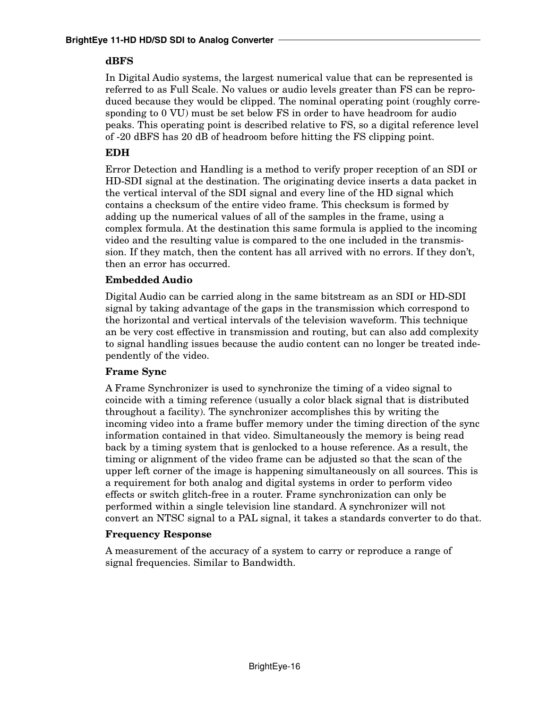#### **dBFS**

In Digital Audio systems, the largest numerical value that can be represented is referred to as Full Scale. No values or audio levels greater than FS can be reproduced because they would be clipped. The nominal operating point (roughly corresponding to 0 VU) must be set below FS in order to have headroom for audio peaks. This operating point is described relative to FS, so a digital reference level of -20 dBFS has 20 dB of headroom before hitting the FS clipping point.

## **EDH**

Error Detection and Handling is a method to verify proper reception of an SDI or HD-SDI signal at the destination. The originating device inserts a data packet in the vertical interval of the SDI signal and every line of the HD signal which contains a checksum of the entire video frame. This checksum is formed by adding up the numerical values of all of the samples in the frame, using a complex formula. At the destination this same formula is applied to the incoming video and the resulting value is compared to the one included in the transmission. If they match, then the content has all arrived with no errors. If they don't, then an error has occurred.

### **Embedded Audio**

Digital Audio can be carried along in the same bitstream as an SDI or HD-SDI signal by taking advantage of the gaps in the transmission which correspond to the horizontal and vertical intervals of the television waveform. This technique an be very cost effective in transmission and routing, but can also add complexity to signal handling issues because the audio content can no longer be treated independently of the video.

### **Frame Sync**

A Frame Synchronizer is used to synchronize the timing of a video signal to coincide with a timing reference (usually a color black signal that is distributed throughout a facility). The synchronizer accomplishes this by writing the incoming video into a frame buffer memory under the timing direction of the sync information contained in that video. Simultaneously the memory is being read back by a timing system that is genlocked to a house reference. As a result, the timing or alignment of the video frame can be adjusted so that the scan of the upper left corner of the image is happening simultaneously on all sources. This is a requirement for both analog and digital systems in order to perform video effects or switch glitch-free in a router. Frame synchronization can only be performed within a single television line standard. A synchronizer will not convert an NTSC signal to a PAL signal, it takes a standards converter to do that.

### **Frequency Response**

A measurement of the accuracy of a system to carry or reproduce a range of signal frequencies. Similar to Bandwidth.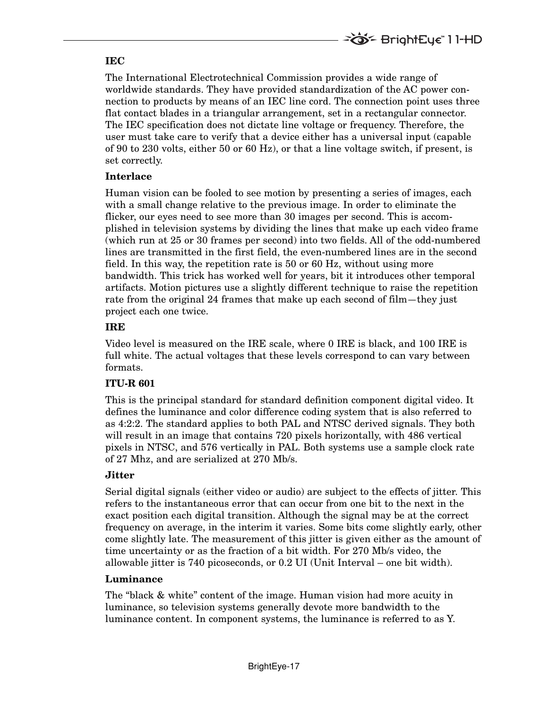#### **IEC**

The International Electrotechnical Commission provides a wide range of worldwide standards. They have provided standardization of the AC power connection to products by means of an IEC line cord. The connection point uses three flat contact blades in a triangular arrangement, set in a rectangular connector. The IEC specification does not dictate line voltage or frequency. Therefore, the user must take care to verify that a device either has a universal input (capable of 90 to 230 volts, either 50 or 60 Hz), or that a line voltage switch, if present, is set correctly.

#### **Interlace**

Human vision can be fooled to see motion by presenting a series of images, each with a small change relative to the previous image. In order to eliminate the flicker, our eyes need to see more than 30 images per second. This is accomplished in television systems by dividing the lines that make up each video frame (which run at 25 or 30 frames per second) into two fields. All of the odd-numbered lines are transmitted in the first field, the even-numbered lines are in the second field. In this way, the repetition rate is 50 or 60 Hz, without using more bandwidth. This trick has worked well for years, bit it introduces other temporal artifacts. Motion pictures use a slightly different technique to raise the repetition rate from the original 24 frames that make up each second of film—they just project each one twice.

### **IRE**

Video level is measured on the IRE scale, where 0 IRE is black, and 100 IRE is full white. The actual voltages that these levels correspond to can vary between formats.

### **ITU-R 601**

This is the principal standard for standard definition component digital video. It defines the luminance and color difference coding system that is also referred to as 4:2:2. The standard applies to both PAL and NTSC derived signals. They both will result in an image that contains 720 pixels horizontally, with 486 vertical pixels in NTSC, and 576 vertically in PAL. Both systems use a sample clock rate of 27 Mhz, and are serialized at 270 Mb/s.

### **Jitter**

Serial digital signals (either video or audio) are subject to the effects of jitter. This refers to the instantaneous error that can occur from one bit to the next in the exact position each digital transition. Although the signal may be at the correct frequency on average, in the interim it varies. Some bits come slightly early, other come slightly late. The measurement of this jitter is given either as the amount of time uncertainty or as the fraction of a bit width. For 270 Mb/s video, the allowable jitter is 740 picoseconds, or 0.2 UI (Unit Interval – one bit width).

### **Luminance**

The "black & white" content of the image. Human vision had more acuity in luminance, so television systems generally devote more bandwidth to the luminance content. In component systems, the luminance is referred to as Y.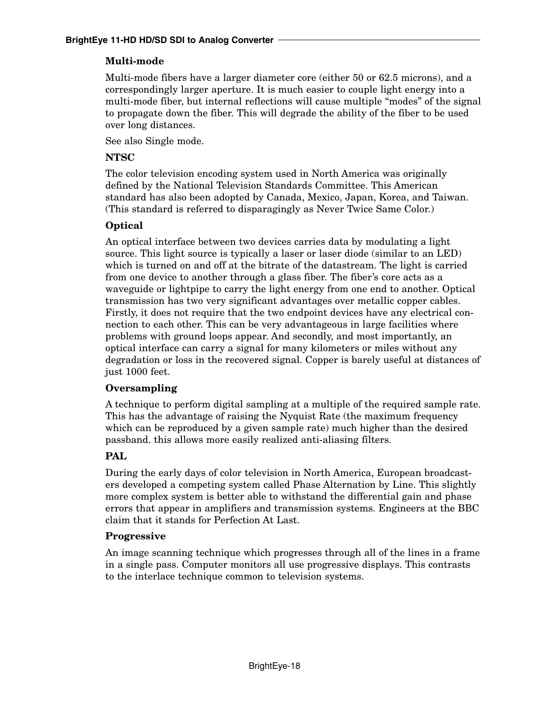## **Multi-mode**

Multi-mode fibers have a larger diameter core (either 50 or 62.5 microns), and a correspondingly larger aperture. It is much easier to couple light energy into a multi-mode fiber, but internal reflections will cause multiple "modes" of the signal to propagate down the fiber. This will degrade the ability of the fiber to be used over long distances.

See also Single mode.

### **NTSC**

The color television encoding system used in North America was originally defined by the National Television Standards Committee. This American standard has also been adopted by Canada, Mexico, Japan, Korea, and Taiwan. (This standard is referred to disparagingly as Never Twice Same Color.)

## **Optical**

An optical interface between two devices carries data by modulating a light source. This light source is typically a laser or laser diode (similar to an LED) which is turned on and off at the bitrate of the datastream. The light is carried from one device to another through a glass fiber. The fiber's core acts as a waveguide or lightpipe to carry the light energy from one end to another. Optical transmission has two very significant advantages over metallic copper cables. Firstly, it does not require that the two endpoint devices have any electrical connection to each other. This can be very advantageous in large facilities where problems with ground loops appear. And secondly, and most importantly, an optical interface can carry a signal for many kilometers or miles without any degradation or loss in the recovered signal. Copper is barely useful at distances of just 1000 feet.

### **Oversampling**

A technique to perform digital sampling at a multiple of the required sample rate. This has the advantage of raising the Nyquist Rate (the maximum frequency which can be reproduced by a given sample rate) much higher than the desired passband. this allows more easily realized anti-aliasing filters.

## **PAL**

During the early days of color television in North America, European broadcasters developed a competing system called Phase Alternation by Line. This slightly more complex system is better able to withstand the differential gain and phase errors that appear in amplifiers and transmission systems. Engineers at the BBC claim that it stands for Perfection At Last.

### **Progressive**

An image scanning technique which progresses through all of the lines in a frame in a single pass. Computer monitors all use progressive displays. This contrasts to the interlace technique common to television systems.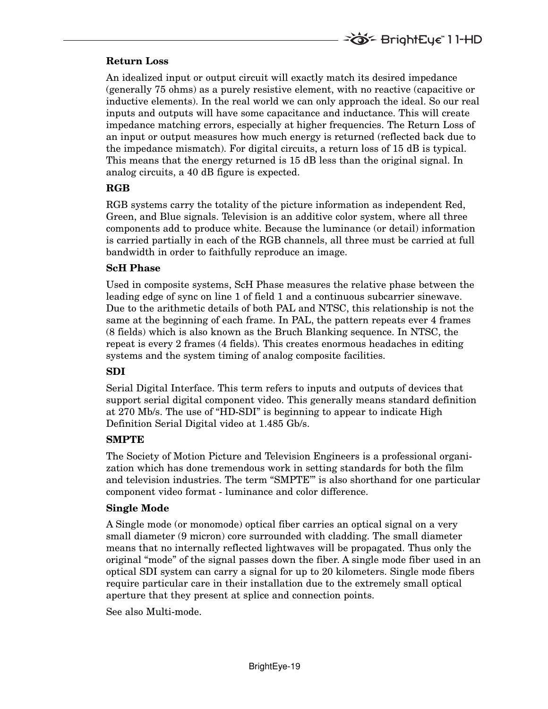#### **Return Loss**

An idealized input or output circuit will exactly match its desired impedance (generally 75 ohms) as a purely resistive element, with no reactive (capacitive or inductive elements). In the real world we can only approach the ideal. So our real inputs and outputs will have some capacitance and inductance. This will create impedance matching errors, especially at higher frequencies. The Return Loss of an input or output measures how much energy is returned (reflected back due to the impedance mismatch). For digital circuits, a return loss of 15 dB is typical. This means that the energy returned is 15 dB less than the original signal. In analog circuits, a 40 dB figure is expected.

#### **RGB**

RGB systems carry the totality of the picture information as independent Red, Green, and Blue signals. Television is an additive color system, where all three components add to produce white. Because the luminance (or detail) information is carried partially in each of the RGB channels, all three must be carried at full bandwidth in order to faithfully reproduce an image.

#### **ScH Phase**

Used in composite systems, ScH Phase measures the relative phase between the leading edge of sync on line 1 of field 1 and a continuous subcarrier sinewave. Due to the arithmetic details of both PAL and NTSC, this relationship is not the same at the beginning of each frame. In PAL, the pattern repeats ever 4 frames (8 fields) which is also known as the Bruch Blanking sequence. In NTSC, the repeat is every 2 frames (4 fields). This creates enormous headaches in editing systems and the system timing of analog composite facilities.

### **SDI**

Serial Digital Interface. This term refers to inputs and outputs of devices that support serial digital component video. This generally means standard definition at 270 Mb/s. The use of "HD-SDI" is beginning to appear to indicate High Definition Serial Digital video at 1.485 Gb/s.

#### **SMPTE**

The Society of Motion Picture and Television Engineers is a professional organization which has done tremendous work in setting standards for both the film and television industries. The term "SMPTE'" is also shorthand for one particular component video format - luminance and color difference.

#### **Single Mode**

A Single mode (or monomode) optical fiber carries an optical signal on a very small diameter (9 micron) core surrounded with cladding. The small diameter means that no internally reflected lightwaves will be propagated. Thus only the original "mode" of the signal passes down the fiber. A single mode fiber used in an optical SDI system can carry a signal for up to 20 kilometers. Single mode fibers require particular care in their installation due to the extremely small optical aperture that they present at splice and connection points.

See also Multi-mode.